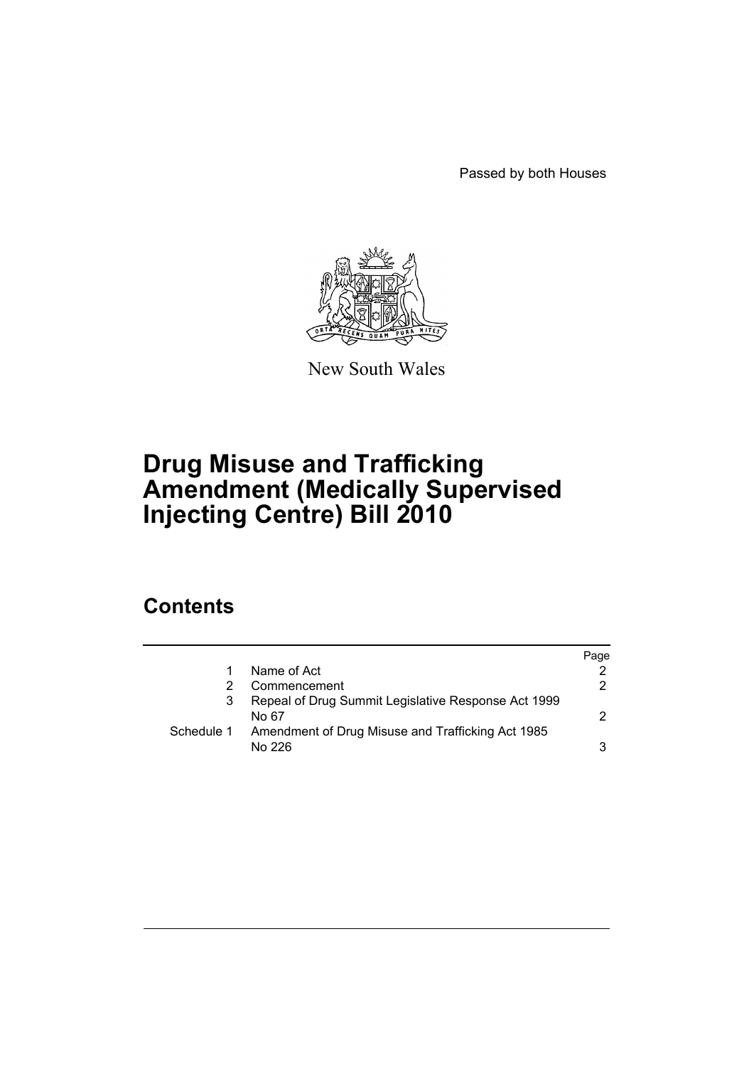Passed by both Houses



New South Wales

# **Drug Misuse and Trafficking Amendment (Medically Supervised Injecting Centre) Bill 2010**

### **Contents**

|            |                                                              | Page |
|------------|--------------------------------------------------------------|------|
|            | Name of Act                                                  |      |
|            | Commencement                                                 | 2    |
|            | Repeal of Drug Summit Legislative Response Act 1999<br>No 67 | 2.   |
| Schedule 1 | Amendment of Drug Misuse and Trafficking Act 1985<br>No 226  | 3    |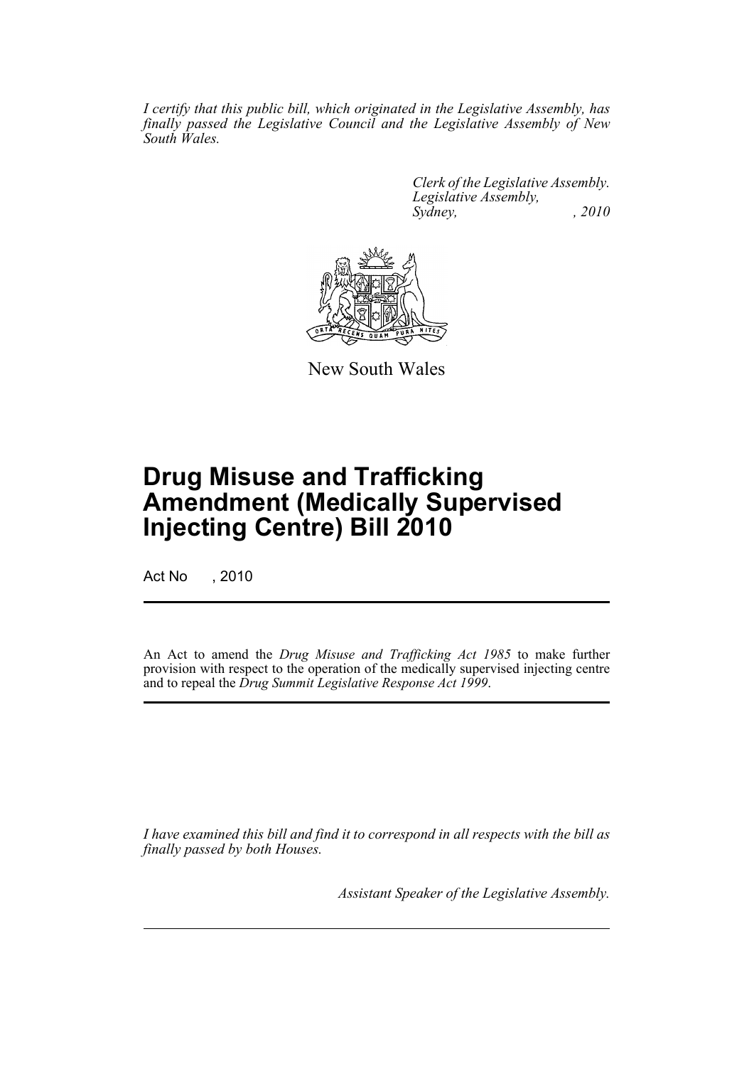*I certify that this public bill, which originated in the Legislative Assembly, has finally passed the Legislative Council and the Legislative Assembly of New South Wales.*

> *Clerk of the Legislative Assembly. Legislative Assembly, Sydney, , 2010*



New South Wales

# **Drug Misuse and Trafficking Amendment (Medically Supervised Injecting Centre) Bill 2010**

Act No , 2010

An Act to amend the *Drug Misuse and Trafficking Act 1985* to make further provision with respect to the operation of the medically supervised injecting centre and to repeal the *Drug Summit Legislative Response Act 1999*.

*I have examined this bill and find it to correspond in all respects with the bill as finally passed by both Houses.*

*Assistant Speaker of the Legislative Assembly.*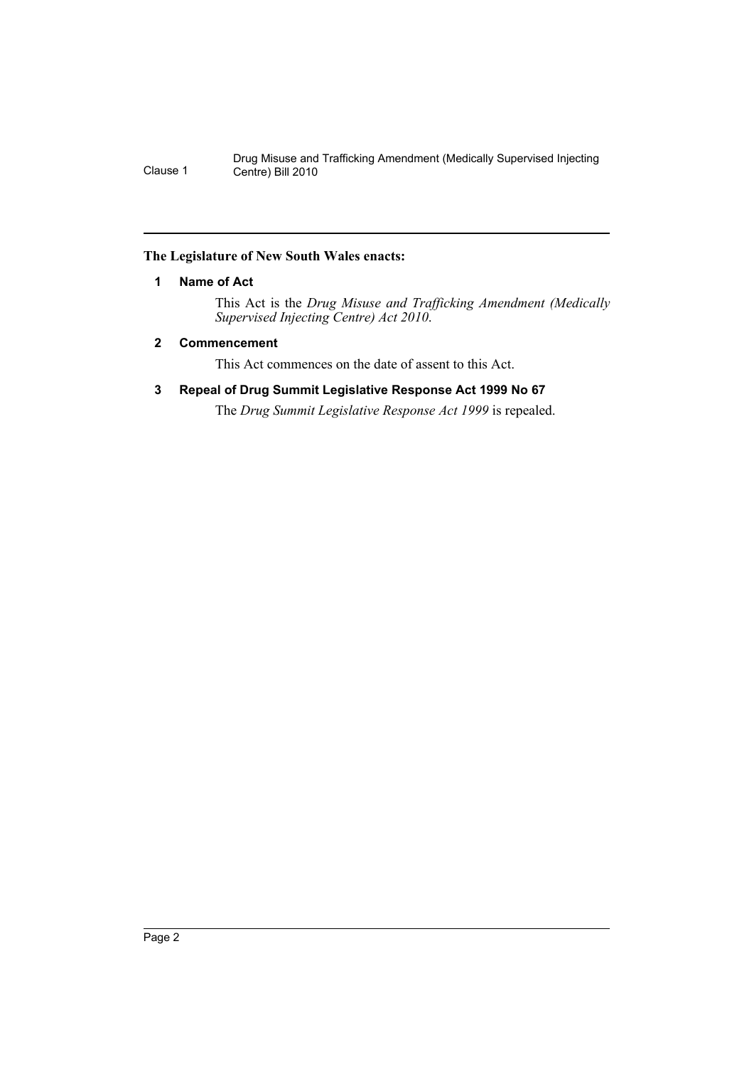Drug Misuse and Trafficking Amendment (Medically Supervised Injecting Clause 1 Centre) Bill 2010

#### <span id="page-2-0"></span>**The Legislature of New South Wales enacts:**

#### **1 Name of Act**

This Act is the *Drug Misuse and Trafficking Amendment (Medically Supervised Injecting Centre) Act 2010*.

#### <span id="page-2-1"></span>**2 Commencement**

This Act commences on the date of assent to this Act.

#### <span id="page-2-2"></span>**3 Repeal of Drug Summit Legislative Response Act 1999 No 67**

The *Drug Summit Legislative Response Act 1999* is repealed.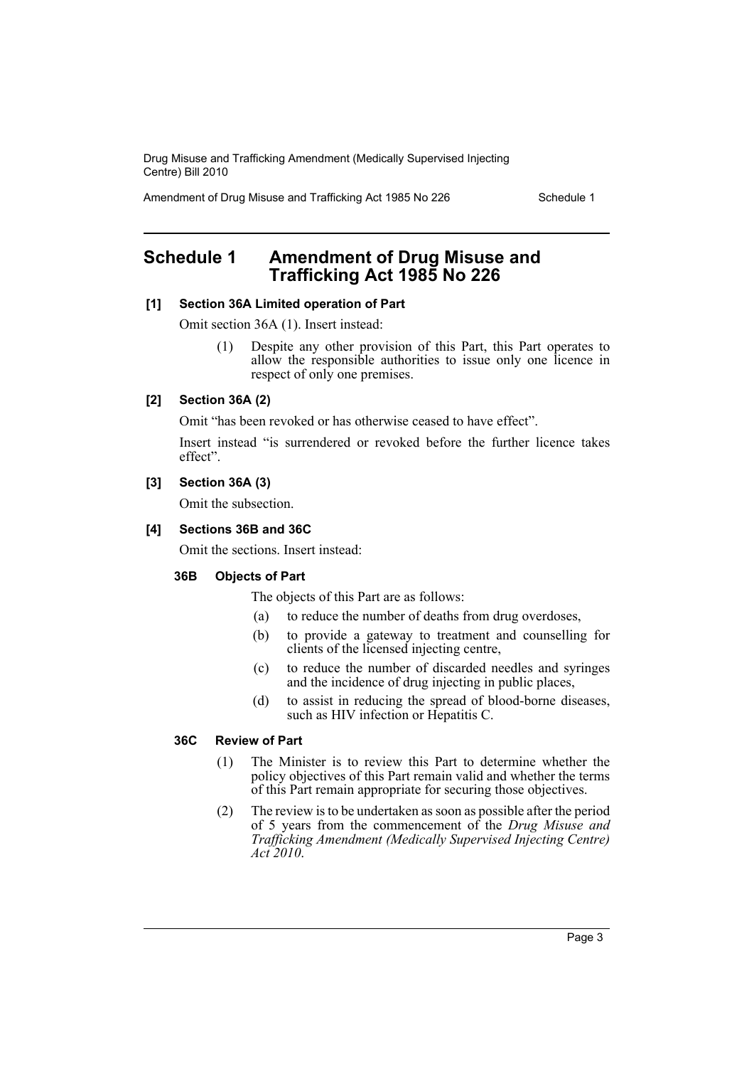Drug Misuse and Trafficking Amendment (Medically Supervised Injecting Centre) Bill 2010

Amendment of Drug Misuse and Trafficking Act 1985 No 226 Schedule 1

### <span id="page-3-0"></span>**Schedule 1 Amendment of Drug Misuse and Trafficking Act 1985 No 226**

#### **[1] Section 36A Limited operation of Part**

Omit section 36A (1). Insert instead:

(1) Despite any other provision of this Part, this Part operates to allow the responsible authorities to issue only one licence in respect of only one premises.

#### **[2] Section 36A (2)**

Omit "has been revoked or has otherwise ceased to have effect".

Insert instead "is surrendered or revoked before the further licence takes effect".

#### **[3] Section 36A (3)**

Omit the subsection.

#### **[4] Sections 36B and 36C**

Omit the sections. Insert instead:

#### **36B Objects of Part**

The objects of this Part are as follows:

- (a) to reduce the number of deaths from drug overdoses,
- (b) to provide a gateway to treatment and counselling for clients of the licensed injecting centre,
- (c) to reduce the number of discarded needles and syringes and the incidence of drug injecting in public places,
- (d) to assist in reducing the spread of blood-borne diseases, such as HIV infection or Hepatitis C.

#### **36C Review of Part**

- (1) The Minister is to review this Part to determine whether the policy objectives of this Part remain valid and whether the terms of this Part remain appropriate for securing those objectives.
- (2) The review is to be undertaken as soon as possible after the period of 5 years from the commencement of the *Drug Misuse and Trafficking Amendment (Medically Supervised Injecting Centre) Act 2010*.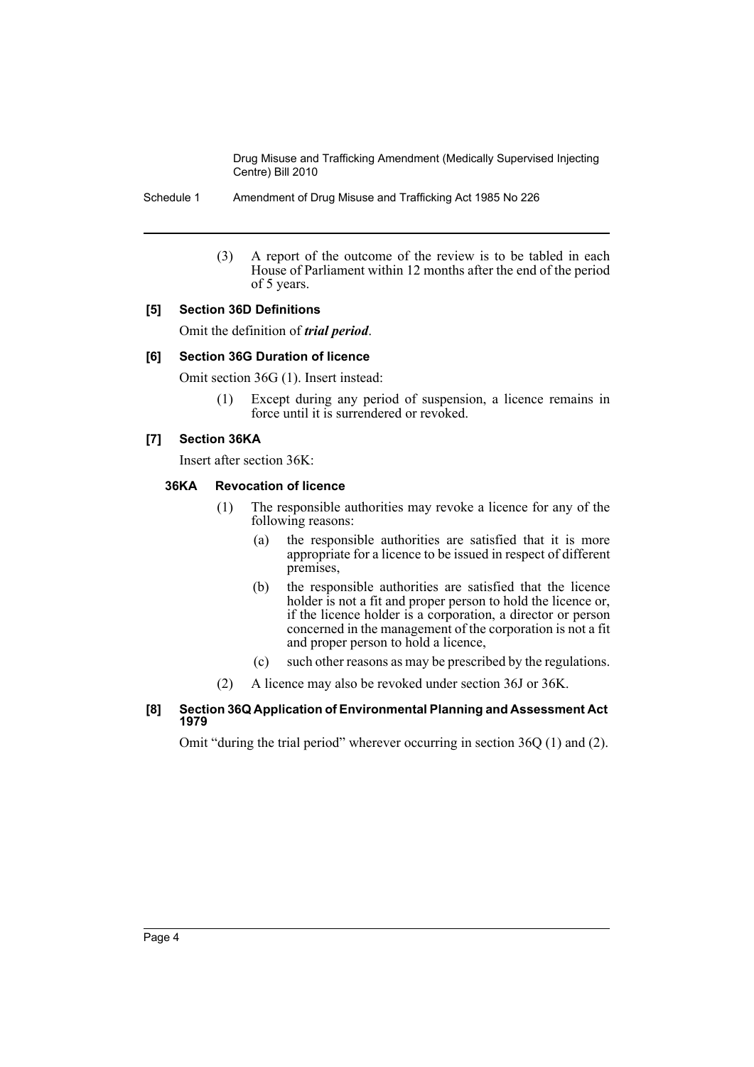Drug Misuse and Trafficking Amendment (Medically Supervised Injecting Centre) Bill 2010

Schedule 1 Amendment of Drug Misuse and Trafficking Act 1985 No 226

(3) A report of the outcome of the review is to be tabled in each House of Parliament within 12 months after the end of the period of 5 years.

#### **[5] Section 36D Definitions**

Omit the definition of *trial period*.

#### **[6] Section 36G Duration of licence**

Omit section 36G (1). Insert instead:

(1) Except during any period of suspension, a licence remains in force until it is surrendered or revoked.

#### **[7] Section 36KA**

Insert after section 36K:

#### **36KA Revocation of licence**

- (1) The responsible authorities may revoke a licence for any of the following reasons:
	- (a) the responsible authorities are satisfied that it is more appropriate for a licence to be issued in respect of different premises,
	- (b) the responsible authorities are satisfied that the licence holder is not a fit and proper person to hold the licence or, if the licence holder is a corporation, a director or person concerned in the management of the corporation is not a fit and proper person to hold a licence,
	- (c) such other reasons as may be prescribed by the regulations.
- (2) A licence may also be revoked under section 36J or 36K.

#### **[8] Section 36Q Application of Environmental Planning and Assessment Act 1979**

Omit "during the trial period" wherever occurring in section 36Q (1) and (2).